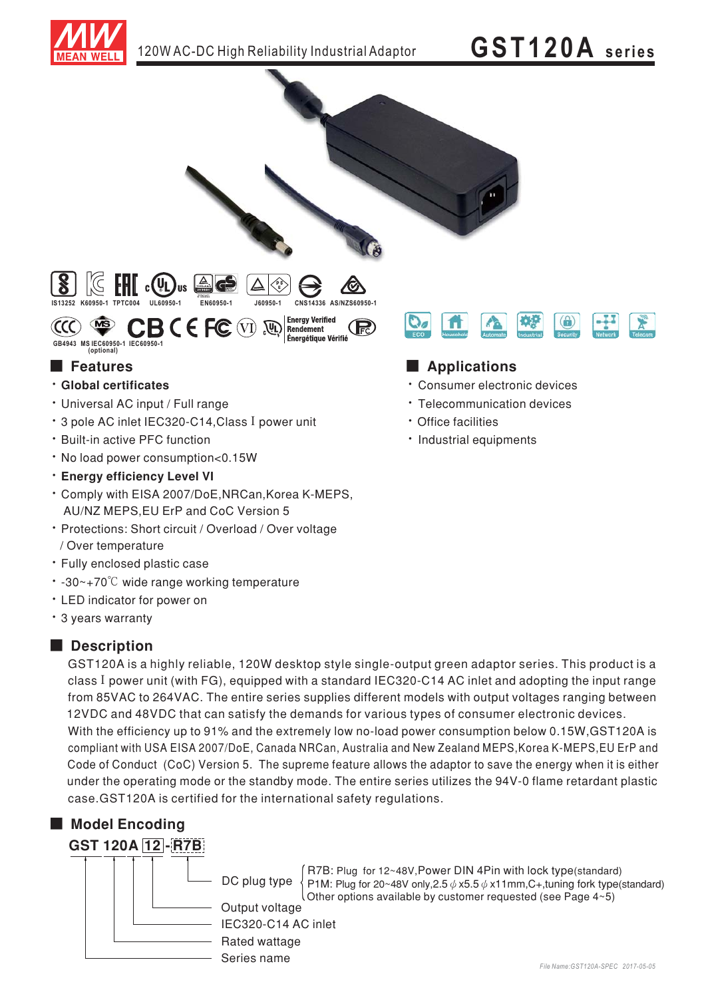



# ■ Features ■ Ap

- **· Global certificates**
- Universal AC input / Full range
- \* 3 pole AC inlet IEC320-C14, Class I power unit
- \* Built-in active PFC function
- No load power consumption<0.15W
- $\cdot$  Energy efficiency Level VI
- · Comply with EISA 2007/DoE, NRCan, Korea K-MEPS, AU/NZ MEPS,EU ErP and CoC Version 5
- Protections: Short circuit / Overload / Over voltage / Over temperature
- Fully enclosed plastic case
- $\cdot$  -30~+70°C wide range working temperature
- LED indicator for power on
- 3 years warranty

#### ■ **Description**

GST120A is a highly reliable, 120W desktop style single-output green adaptor series. This product is a class I power unit (with FG), equipped with a standard IEC320-C14 AC inlet and adopting the input range from 85VAC to 264VAC. The entire series supplies different models with output voltages ranging between 12VDC and 48VDC that can satisfy the demands for various types of consumer electronic devices. With the efficiency up to 91% and the extremely low no-load power consumption below 0.15W,GST120A is compliant with USA EISA 2007/DoE, Canada NRCan, Australia and New Zealand MEPS,Korea K-MEPS,EU ErP and Code of Conduct (CoC) Version 5. The supreme feature allows the adaptor to save the energy when it is either under the operating mode or the standby mode. The entire series utilizes the 94V-0 flame retardant plastic case.GST120A is certified for the international safety regulations.





DC plug type  $\left\{\n \begin{array}{l}\n \text{R7B: Plug for 12~48V,Power DIN 4Pin with lock type (standard) \\
 \text{P1M: Plug for 20~48V only, } 2.5 \phi \times 5.5 \phi \times 11mm, C+, tuning fork type (standard) \\
 \text{Other options available by customer requested (see Page 4~5)\n}.\n \end{array}\n\right\}$ Other options available by customer requested (see Page  $4 \times 5$ )

## 

- Consumer electronic devices
- Telecommunication devices
- Office facilities
- · Industrial equipments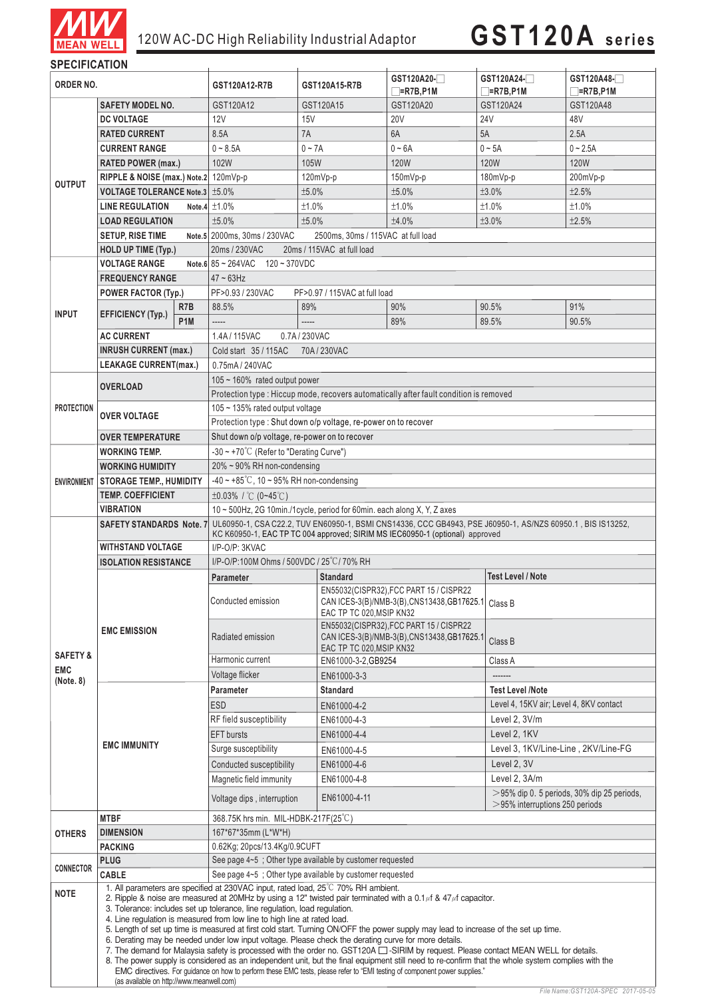

| <b>SPECIFICATION</b> |                                                                                                                                                                                                                                                                                                                                                                                                                                                                                                                                                                                                                                                                                                                                                                                                                                                                                                                                                                                                                                                       |                                                           |                                                                                                                                                                                                                     |                                             |                                                                                                                                           |                                                                |                               |  |  |
|----------------------|-------------------------------------------------------------------------------------------------------------------------------------------------------------------------------------------------------------------------------------------------------------------------------------------------------------------------------------------------------------------------------------------------------------------------------------------------------------------------------------------------------------------------------------------------------------------------------------------------------------------------------------------------------------------------------------------------------------------------------------------------------------------------------------------------------------------------------------------------------------------------------------------------------------------------------------------------------------------------------------------------------------------------------------------------------|-----------------------------------------------------------|---------------------------------------------------------------------------------------------------------------------------------------------------------------------------------------------------------------------|---------------------------------------------|-------------------------------------------------------------------------------------------------------------------------------------------|----------------------------------------------------------------|-------------------------------|--|--|
| ORDER NO.            |                                                                                                                                                                                                                                                                                                                                                                                                                                                                                                                                                                                                                                                                                                                                                                                                                                                                                                                                                                                                                                                       |                                                           | GST120A12-R7B                                                                                                                                                                                                       | GST120A15-R7B                               | GST120A20-<br>$\Box$ =R7B,P1M                                                                                                             | GST120A24-<br>$\Box$ =R7B,P1M                                  | GST120A48-<br>$\Box$ =R7B,P1M |  |  |
| <b>OUTPUT</b>        | <b>SAFETY MODEL NO.</b>                                                                                                                                                                                                                                                                                                                                                                                                                                                                                                                                                                                                                                                                                                                                                                                                                                                                                                                                                                                                                               |                                                           | GST120A12                                                                                                                                                                                                           | GST120A15                                   | GST120A20                                                                                                                                 | GST120A24                                                      | GST120A48                     |  |  |
|                      | <b>DC VOLTAGE</b>                                                                                                                                                                                                                                                                                                                                                                                                                                                                                                                                                                                                                                                                                                                                                                                                                                                                                                                                                                                                                                     |                                                           | 12V                                                                                                                                                                                                                 | 15V                                         | <b>20V</b>                                                                                                                                | 24V                                                            | 48V                           |  |  |
|                      | <b>RATED CURRENT</b>                                                                                                                                                                                                                                                                                                                                                                                                                                                                                                                                                                                                                                                                                                                                                                                                                                                                                                                                                                                                                                  |                                                           | 8.5A                                                                                                                                                                                                                | 7A                                          | 6A                                                                                                                                        | 5A                                                             | 2.5A                          |  |  |
|                      | <b>CURRENT RANGE</b>                                                                                                                                                                                                                                                                                                                                                                                                                                                                                                                                                                                                                                                                                                                                                                                                                                                                                                                                                                                                                                  |                                                           | $0 - 8.5A$                                                                                                                                                                                                          | $0 - 7A$                                    | $0 - 6A$                                                                                                                                  | $0 - 5A$                                                       | $0 - 2.5A$                    |  |  |
|                      | <b>RATED POWER (max.)</b>                                                                                                                                                                                                                                                                                                                                                                                                                                                                                                                                                                                                                                                                                                                                                                                                                                                                                                                                                                                                                             |                                                           | 102W                                                                                                                                                                                                                | 105W                                        | 120W                                                                                                                                      | <b>120W</b>                                                    | 120W                          |  |  |
|                      |                                                                                                                                                                                                                                                                                                                                                                                                                                                                                                                                                                                                                                                                                                                                                                                                                                                                                                                                                                                                                                                       |                                                           |                                                                                                                                                                                                                     |                                             |                                                                                                                                           |                                                                |                               |  |  |
|                      | RIPPLE & NOISE (max.) Note.2 120mVp-p                                                                                                                                                                                                                                                                                                                                                                                                                                                                                                                                                                                                                                                                                                                                                                                                                                                                                                                                                                                                                 |                                                           |                                                                                                                                                                                                                     | 120mVp-p                                    | 150mVp-p                                                                                                                                  | 180mVp-p                                                       | 200mVp-p                      |  |  |
|                      | <b>VOLTAGE TOLERANCE Note.3 ±5.0%</b>                                                                                                                                                                                                                                                                                                                                                                                                                                                                                                                                                                                                                                                                                                                                                                                                                                                                                                                                                                                                                 |                                                           |                                                                                                                                                                                                                     | ±5.0%                                       | ±5.0%                                                                                                                                     | ±3.0%                                                          | ±2.5%                         |  |  |
|                      | <b>LINE REGULATION</b>                                                                                                                                                                                                                                                                                                                                                                                                                                                                                                                                                                                                                                                                                                                                                                                                                                                                                                                                                                                                                                |                                                           | Note.4 $±1.0\%$                                                                                                                                                                                                     | ±1.0%                                       | ±1.0%                                                                                                                                     | ±1.0%                                                          | ±1.0%                         |  |  |
|                      | <b>LOAD REGULATION</b>                                                                                                                                                                                                                                                                                                                                                                                                                                                                                                                                                                                                                                                                                                                                                                                                                                                                                                                                                                                                                                |                                                           | ±5.0%                                                                                                                                                                                                               | ±5.0%                                       | ±4.0%                                                                                                                                     | ±3.0%                                                          | ±2.5%                         |  |  |
|                      | <b>SETUP, RISE TIME</b>                                                                                                                                                                                                                                                                                                                                                                                                                                                                                                                                                                                                                                                                                                                                                                                                                                                                                                                                                                                                                               |                                                           | Note.5 2000ms, 30ms / 230VAC<br>2500ms, 30ms / 115VAC at full load                                                                                                                                                  |                                             |                                                                                                                                           |                                                                |                               |  |  |
|                      | <b>HOLD UP TIME (Typ.)</b>                                                                                                                                                                                                                                                                                                                                                                                                                                                                                                                                                                                                                                                                                                                                                                                                                                                                                                                                                                                                                            |                                                           | 20ms / 230VAC<br>20ms / 115VAC at full load                                                                                                                                                                         |                                             |                                                                                                                                           |                                                                |                               |  |  |
|                      | <b>VOLTAGE RANGE</b>                                                                                                                                                                                                                                                                                                                                                                                                                                                                                                                                                                                                                                                                                                                                                                                                                                                                                                                                                                                                                                  |                                                           | Note 6 $85 - 264$ VAC $120 - 370$ VDC                                                                                                                                                                               |                                             |                                                                                                                                           |                                                                |                               |  |  |
|                      | <b>FREQUENCY RANGE</b>                                                                                                                                                                                                                                                                                                                                                                                                                                                                                                                                                                                                                                                                                                                                                                                                                                                                                                                                                                                                                                |                                                           | $47 \sim 63$ Hz                                                                                                                                                                                                     |                                             |                                                                                                                                           |                                                                |                               |  |  |
|                      | <b>POWER FACTOR (Typ.)</b>                                                                                                                                                                                                                                                                                                                                                                                                                                                                                                                                                                                                                                                                                                                                                                                                                                                                                                                                                                                                                            |                                                           | PF>0.93 / 230VAC                                                                                                                                                                                                    | PF>0.97 / 115VAC at full load               |                                                                                                                                           |                                                                |                               |  |  |
| <b>INPUT</b>         | <b>EFFICIENCY (Typ.)</b>                                                                                                                                                                                                                                                                                                                                                                                                                                                                                                                                                                                                                                                                                                                                                                                                                                                                                                                                                                                                                              | R <sub>7</sub> B                                          | 88.5%                                                                                                                                                                                                               | 89%                                         | 90%                                                                                                                                       | 90.5%                                                          | 91%                           |  |  |
|                      |                                                                                                                                                                                                                                                                                                                                                                                                                                                                                                                                                                                                                                                                                                                                                                                                                                                                                                                                                                                                                                                       | P <sub>1</sub> M                                          | -----                                                                                                                                                                                                               | -----                                       | 89%                                                                                                                                       | 89.5%                                                          | 90.5%                         |  |  |
|                      | <b>AC CURRENT</b>                                                                                                                                                                                                                                                                                                                                                                                                                                                                                                                                                                                                                                                                                                                                                                                                                                                                                                                                                                                                                                     |                                                           | 1.4A/115VAC<br>0.7A/230VAC                                                                                                                                                                                          |                                             |                                                                                                                                           |                                                                |                               |  |  |
|                      | <b>INRUSH CURRENT (max.)</b>                                                                                                                                                                                                                                                                                                                                                                                                                                                                                                                                                                                                                                                                                                                                                                                                                                                                                                                                                                                                                          |                                                           | Cold start 35 / 115AC<br>70A/230VAC                                                                                                                                                                                 |                                             |                                                                                                                                           |                                                                |                               |  |  |
|                      | <b>LEAKAGE CURRENT(max.)</b>                                                                                                                                                                                                                                                                                                                                                                                                                                                                                                                                                                                                                                                                                                                                                                                                                                                                                                                                                                                                                          |                                                           | 0.75mA / 240VAC                                                                                                                                                                                                     |                                             |                                                                                                                                           |                                                                |                               |  |  |
|                      | <b>OVERLOAD</b>                                                                                                                                                                                                                                                                                                                                                                                                                                                                                                                                                                                                                                                                                                                                                                                                                                                                                                                                                                                                                                       |                                                           | $105 \sim 160\%$ rated output power                                                                                                                                                                                 |                                             |                                                                                                                                           |                                                                |                               |  |  |
|                      |                                                                                                                                                                                                                                                                                                                                                                                                                                                                                                                                                                                                                                                                                                                                                                                                                                                                                                                                                                                                                                                       |                                                           | Protection type: Hiccup mode, recovers automatically after fault condition is removed                                                                                                                               |                                             |                                                                                                                                           |                                                                |                               |  |  |
| <b>PROTECTION</b>    | <b>OVER VOLTAGE</b>                                                                                                                                                                                                                                                                                                                                                                                                                                                                                                                                                                                                                                                                                                                                                                                                                                                                                                                                                                                                                                   |                                                           | 105 $\sim$ 135% rated output voltage                                                                                                                                                                                |                                             |                                                                                                                                           |                                                                |                               |  |  |
|                      |                                                                                                                                                                                                                                                                                                                                                                                                                                                                                                                                                                                                                                                                                                                                                                                                                                                                                                                                                                                                                                                       |                                                           | Protection type : Shut down o/p voltage, re-power on to recover                                                                                                                                                     |                                             |                                                                                                                                           |                                                                |                               |  |  |
|                      | <b>OVER TEMPERATURE</b>                                                                                                                                                                                                                                                                                                                                                                                                                                                                                                                                                                                                                                                                                                                                                                                                                                                                                                                                                                                                                               |                                                           | Shut down o/p voltage, re-power on to recover                                                                                                                                                                       |                                             |                                                                                                                                           |                                                                |                               |  |  |
| <b>ENVIRONMENT</b>   | WORKING TEMP.                                                                                                                                                                                                                                                                                                                                                                                                                                                                                                                                                                                                                                                                                                                                                                                                                                                                                                                                                                                                                                         |                                                           | $-30 \sim +70^{\circ}$ C (Refer to "Derating Curve")                                                                                                                                                                |                                             |                                                                                                                                           |                                                                |                               |  |  |
|                      | <b>WORKING HUMIDITY</b>                                                                                                                                                                                                                                                                                                                                                                                                                                                                                                                                                                                                                                                                                                                                                                                                                                                                                                                                                                                                                               |                                                           | $20\% \sim 90\%$ RH non-condensing                                                                                                                                                                                  |                                             |                                                                                                                                           |                                                                |                               |  |  |
|                      | STORAGE TEMP., HUMIDITY                                                                                                                                                                                                                                                                                                                                                                                                                                                                                                                                                                                                                                                                                                                                                                                                                                                                                                                                                                                                                               |                                                           | $-40 \sim +85^{\circ}$ C, 10 ~ 95% RH non-condensing                                                                                                                                                                |                                             |                                                                                                                                           |                                                                |                               |  |  |
|                      | <b>TEMP. COEFFICIENT</b>                                                                                                                                                                                                                                                                                                                                                                                                                                                                                                                                                                                                                                                                                                                                                                                                                                                                                                                                                                                                                              |                                                           | $\pm 0.03\%$ / °C (0~45°C)                                                                                                                                                                                          |                                             |                                                                                                                                           |                                                                |                               |  |  |
|                      | <b>VIBRATION</b>                                                                                                                                                                                                                                                                                                                                                                                                                                                                                                                                                                                                                                                                                                                                                                                                                                                                                                                                                                                                                                      |                                                           | 10 ~ 500Hz, 2G 10min./1cycle, period for 60min. each along X, Y, Z axes                                                                                                                                             |                                             |                                                                                                                                           |                                                                |                               |  |  |
|                      |                                                                                                                                                                                                                                                                                                                                                                                                                                                                                                                                                                                                                                                                                                                                                                                                                                                                                                                                                                                                                                                       |                                                           | SAFETY STANDARDS Note. 7 UL60950-1, CSA C22.2, TUV EN60950-1, BSMI CNS14336, CCC GB4943, PSE J60950-1, AS/NZS 60950.1, BIS IS13252,<br>KC K60950-1, EAC TP TC 004 approved; SIRIM MS IEC60950-1 (optional) approved |                                             |                                                                                                                                           |                                                                |                               |  |  |
|                      | <b>WITHSTAND VOLTAGE</b>                                                                                                                                                                                                                                                                                                                                                                                                                                                                                                                                                                                                                                                                                                                                                                                                                                                                                                                                                                                                                              |                                                           | I/P-O/P: 3KVAC                                                                                                                                                                                                      |                                             |                                                                                                                                           |                                                                |                               |  |  |
|                      | <b>ISOLATION RESISTANCE</b>                                                                                                                                                                                                                                                                                                                                                                                                                                                                                                                                                                                                                                                                                                                                                                                                                                                                                                                                                                                                                           |                                                           | I/P-O/P:100M Ohms / 500VDC / 25°C / 70% RH                                                                                                                                                                          |                                             |                                                                                                                                           |                                                                |                               |  |  |
|                      |                                                                                                                                                                                                                                                                                                                                                                                                                                                                                                                                                                                                                                                                                                                                                                                                                                                                                                                                                                                                                                                       |                                                           | <b>Parameter</b>                                                                                                                                                                                                    | <b>Standard</b><br><b>Test Level / Note</b> |                                                                                                                                           |                                                                |                               |  |  |
|                      | <b>EMC EMISSION</b>                                                                                                                                                                                                                                                                                                                                                                                                                                                                                                                                                                                                                                                                                                                                                                                                                                                                                                                                                                                                                                   |                                                           | Conducted emission                                                                                                                                                                                                  | EAC TP TC 020, MSIP KN32                    | EN55032(CISPR32), FCC PART 15 / CISPR22<br>CAN ICES-3(B)/NMB-3(B), CNS13438, GB17625.1 Class B<br>EN55032(CISPR32), FCC PART 15 / CISPR22 |                                                                |                               |  |  |
| <b>SAFETY &amp;</b>  |                                                                                                                                                                                                                                                                                                                                                                                                                                                                                                                                                                                                                                                                                                                                                                                                                                                                                                                                                                                                                                                       |                                                           | Radiated emission<br>Harmonic current                                                                                                                                                                               |                                             | CAN ICES-3(B)/NMB-3(B), CNS13438, GB17625.1<br>EAC TP TC 020, MSIP KN32<br>EN61000-3-2, GB9254                                            |                                                                | Class B                       |  |  |
| <b>EMC</b>           |                                                                                                                                                                                                                                                                                                                                                                                                                                                                                                                                                                                                                                                                                                                                                                                                                                                                                                                                                                                                                                                       |                                                           | Voltage flicker                                                                                                                                                                                                     |                                             |                                                                                                                                           | Class A<br>-------                                             |                               |  |  |
| (Note. 8)            |                                                                                                                                                                                                                                                                                                                                                                                                                                                                                                                                                                                                                                                                                                                                                                                                                                                                                                                                                                                                                                                       |                                                           | Parameter                                                                                                                                                                                                           | EN61000-3-3<br><b>Standard</b>              |                                                                                                                                           | <b>Test Level /Note</b>                                        |                               |  |  |
|                      |                                                                                                                                                                                                                                                                                                                                                                                                                                                                                                                                                                                                                                                                                                                                                                                                                                                                                                                                                                                                                                                       |                                                           | <b>ESD</b>                                                                                                                                                                                                          | EN61000-4-2                                 |                                                                                                                                           | Level 4, 15KV air; Level 4, 8KV contact                        |                               |  |  |
|                      |                                                                                                                                                                                                                                                                                                                                                                                                                                                                                                                                                                                                                                                                                                                                                                                                                                                                                                                                                                                                                                                       |                                                           | RF field susceptibility                                                                                                                                                                                             | EN61000-4-3                                 |                                                                                                                                           | Level 2, 3V/m                                                  |                               |  |  |
|                      |                                                                                                                                                                                                                                                                                                                                                                                                                                                                                                                                                                                                                                                                                                                                                                                                                                                                                                                                                                                                                                                       |                                                           | <b>EFT</b> bursts                                                                                                                                                                                                   |                                             |                                                                                                                                           | Level 2, 1KV                                                   |                               |  |  |
|                      | <b>EMC IMMUNITY</b>                                                                                                                                                                                                                                                                                                                                                                                                                                                                                                                                                                                                                                                                                                                                                                                                                                                                                                                                                                                                                                   |                                                           | Surge susceptibility                                                                                                                                                                                                | EN61000-4-4                                 |                                                                                                                                           |                                                                |                               |  |  |
|                      |                                                                                                                                                                                                                                                                                                                                                                                                                                                                                                                                                                                                                                                                                                                                                                                                                                                                                                                                                                                                                                                       |                                                           |                                                                                                                                                                                                                     | EN61000-4-5                                 |                                                                                                                                           | Level 3, 1KV/Line-Line, 2KV/Line-FG                            |                               |  |  |
|                      |                                                                                                                                                                                                                                                                                                                                                                                                                                                                                                                                                                                                                                                                                                                                                                                                                                                                                                                                                                                                                                                       |                                                           | Conducted susceptibility                                                                                                                                                                                            | EN61000-4-6                                 |                                                                                                                                           | Level 2, 3V                                                    |                               |  |  |
|                      |                                                                                                                                                                                                                                                                                                                                                                                                                                                                                                                                                                                                                                                                                                                                                                                                                                                                                                                                                                                                                                                       |                                                           | Magnetic field immunity                                                                                                                                                                                             | EN61000-4-8                                 |                                                                                                                                           | Level 2, 3A/m<br>$>$ 95% dip 0. 5 periods, 30% dip 25 periods, |                               |  |  |
|                      |                                                                                                                                                                                                                                                                                                                                                                                                                                                                                                                                                                                                                                                                                                                                                                                                                                                                                                                                                                                                                                                       |                                                           | Voltage dips, interruption                                                                                                                                                                                          | EN61000-4-11                                |                                                                                                                                           | $>$ 95% interruptions 250 periods                              |                               |  |  |
|                      | <b>MTBF</b>                                                                                                                                                                                                                                                                                                                                                                                                                                                                                                                                                                                                                                                                                                                                                                                                                                                                                                                                                                                                                                           |                                                           | 368.75K hrs min. MIL-HDBK-217F(25°C)                                                                                                                                                                                |                                             |                                                                                                                                           |                                                                |                               |  |  |
| <b>OTHERS</b>        | <b>DIMENSION</b>                                                                                                                                                                                                                                                                                                                                                                                                                                                                                                                                                                                                                                                                                                                                                                                                                                                                                                                                                                                                                                      |                                                           | 167*67*35mm (L*W*H)                                                                                                                                                                                                 |                                             |                                                                                                                                           |                                                                |                               |  |  |
|                      | <b>PACKING</b>                                                                                                                                                                                                                                                                                                                                                                                                                                                                                                                                                                                                                                                                                                                                                                                                                                                                                                                                                                                                                                        |                                                           | 0.62Kg; 20pcs/13.4Kg/0.9CUFT                                                                                                                                                                                        |                                             |                                                                                                                                           |                                                                |                               |  |  |
| CONNECTOR            | See page 4~5; Other type available by customer requested<br><b>PLUG</b>                                                                                                                                                                                                                                                                                                                                                                                                                                                                                                                                                                                                                                                                                                                                                                                                                                                                                                                                                                               |                                                           |                                                                                                                                                                                                                     |                                             |                                                                                                                                           |                                                                |                               |  |  |
|                      | CABLE                                                                                                                                                                                                                                                                                                                                                                                                                                                                                                                                                                                                                                                                                                                                                                                                                                                                                                                                                                                                                                                 | See page 4~5 ; Other type available by customer requested |                                                                                                                                                                                                                     |                                             |                                                                                                                                           |                                                                |                               |  |  |
| <b>NOTE</b>          | 1. All parameters are specified at 230VAC input, rated load, 25°C 70% RH ambient.<br>2. Ripple & noise are measured at 20MHz by using a 12" twisted pair terminated with a 0.1 $\mu$ f & 47 $\mu$ f capacitor.<br>3. Tolerance: includes set up tolerance, line regulation, load regulation.<br>4. Line regulation is measured from low line to high line at rated load.<br>5. Length of set up time is measured at first cold start. Turning ON/OFF the power supply may lead to increase of the set up time.<br>6. Derating may be needed under low input voltage. Please check the derating curve for more details.<br>7. The demand for Malaysia safety is processed with the order no. GST120A [Casa SIRIM by request. Please contact MEAN WELL for details.<br>8. The power supply is considered as an independent unit, but the final equipment still need to re-confirm that the whole system complies with the<br>EMC directives. For guidance on how to perform these EMC tests, please refer to "EMI testing of component power supplies." |                                                           |                                                                                                                                                                                                                     |                                             |                                                                                                                                           |                                                                |                               |  |  |
|                      | (as available on http://www.meanwell.com)                                                                                                                                                                                                                                                                                                                                                                                                                                                                                                                                                                                                                                                                                                                                                                                                                                                                                                                                                                                                             |                                                           |                                                                                                                                                                                                                     |                                             |                                                                                                                                           |                                                                |                               |  |  |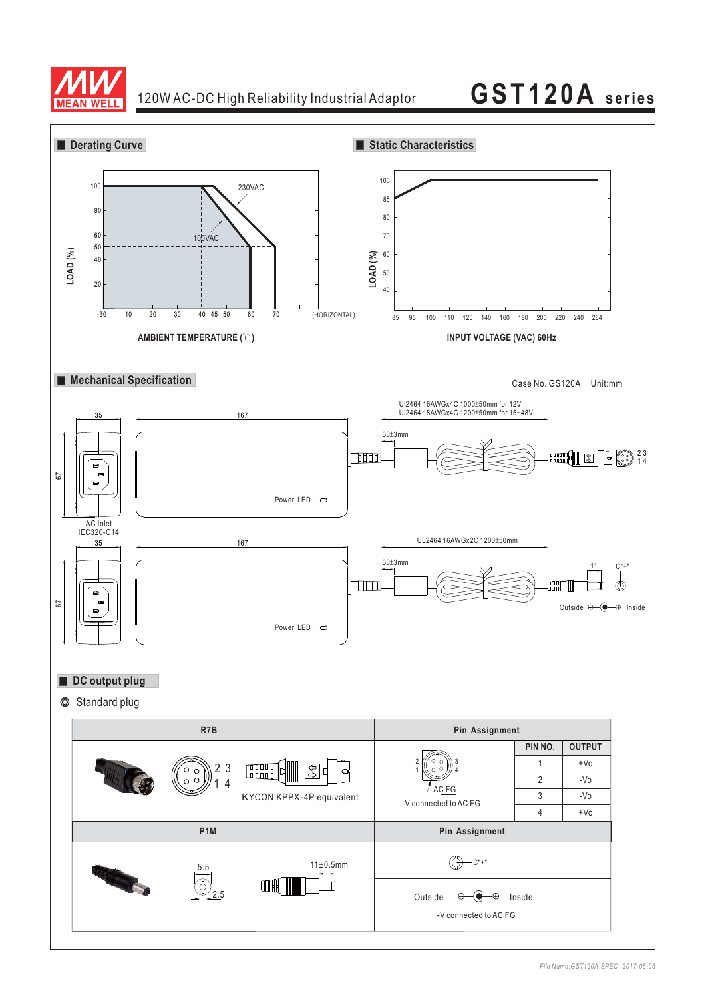

### 120W AC-DC High Reliability Industrial Adaptor

**GST120A series**

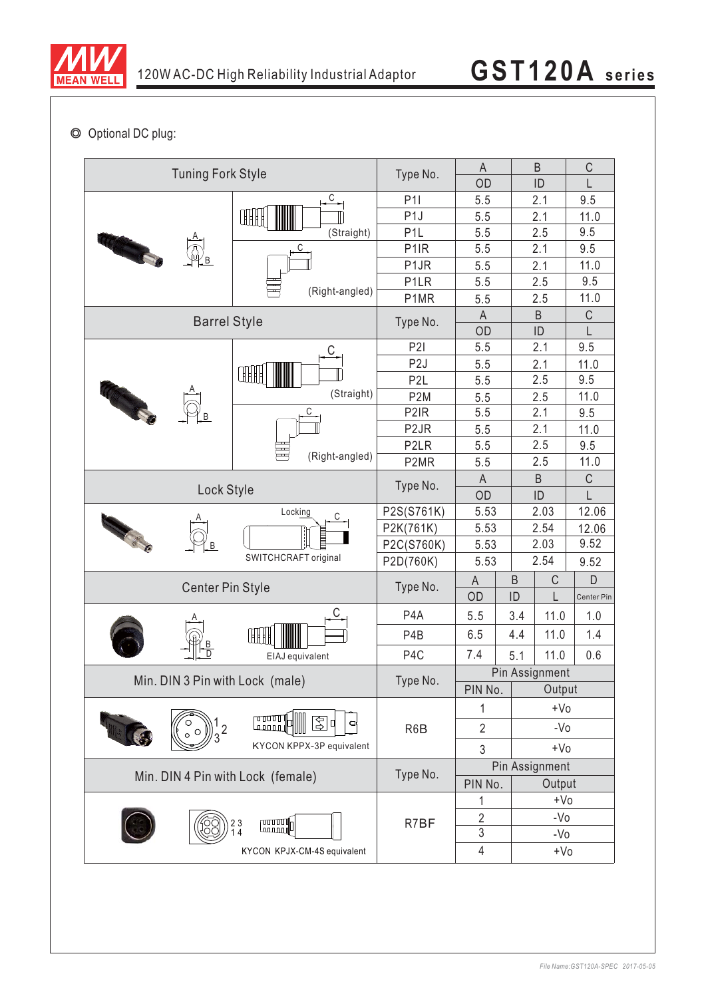

◎ Optional DC plug:

| <b>Tuning Fork Style</b>                                                                                             | Type No.                                                                          | A<br>OD           |                   | B<br>ID | $\mathsf C$<br>L |             |
|----------------------------------------------------------------------------------------------------------------------|-----------------------------------------------------------------------------------|-------------------|-------------------|---------|------------------|-------------|
|                                                                                                                      | $\mathsf{C}$                                                                      | P11               | 5.5               |         | 2.1              | 9.5         |
|                                                                                                                      | ŒH                                                                                | P <sub>1</sub>    | 5.5               |         | 2.1              | 11.0        |
|                                                                                                                      | (Straight)                                                                        | P <sub>1</sub> L  | 5.5               |         | 2.5              | 9.5         |
|                                                                                                                      | С                                                                                 | P <sub>1</sub> IR | 5.5               |         | 2.1              | 9.5         |
|                                                                                                                      | (Right-angled)                                                                    | P <sub>1</sub> JR | 5.5               |         | 2.1              | 11.0        |
|                                                                                                                      |                                                                                   | P <sub>1</sub> LR | 5.5               |         | 2.5              | 9.5         |
|                                                                                                                      |                                                                                   | P1MR              | 5.5               |         | 2.5              | 11.0        |
|                                                                                                                      | Type No.                                                                          | A                 |                   | $\sf B$ | $\mathsf C$      |             |
| <b>Barrel Style</b>                                                                                                  |                                                                                   | OD                |                   | ID      | L                |             |
|                                                                                                                      |                                                                                   | P2I               | 5.5               |         | 2.1              | 9.5         |
|                                                                                                                      | ŒH                                                                                | P <sub>2</sub> J  | 5.5               |         | 2.1              | 11.0        |
|                                                                                                                      |                                                                                   | P <sub>2</sub> L  | 5.5               |         | 2.5              | 9.5         |
|                                                                                                                      | (Straight)                                                                        | P <sub>2</sub> M  | 5.5               |         | 2.5              | 11.0        |
|                                                                                                                      | С                                                                                 | P <sub>2</sub> IR | 5.5               |         | 2.1              | 9.5         |
|                                                                                                                      |                                                                                   | P <sub>2</sub> JR | 5.5               |         | 2.1              | 11.0        |
|                                                                                                                      |                                                                                   | P <sub>2</sub> LR | 5.5               |         | 2.5              | 9.5         |
|                                                                                                                      | (Right-angled)                                                                    | P2MR              | 5.5               |         | 2.5              | 11.0        |
|                                                                                                                      |                                                                                   |                   |                   |         | $\sf B$          | $\mathsf C$ |
| Lock Style                                                                                                           |                                                                                   | Type No.          | OD                |         | ID               | L           |
|                                                                                                                      | Locking<br>С                                                                      | P2S(S761K)        | 5.53              |         | 2.03             | 12.06       |
| <b>Contract Contract Contract Contract Contract Contract Contract Contract Contract Contract Contract Contract C</b> |                                                                                   | P2K(761K)         | 5.53              |         | 2.54             | 12.06       |
|                                                                                                                      |                                                                                   | P2C(S760K)        | 5.53              |         | 2.03             | 9.52        |
|                                                                                                                      | SWITCHCRAFT original                                                              | P2D(760K)         | 5.53              |         | 2.54             | 9.52        |
| <b>Center Pin Style</b>                                                                                              |                                                                                   | Type No.          | $\mathsf{A}$      | B       | C                | D           |
|                                                                                                                      |                                                                                   |                   | OD                | ID      | Ĺ                | Center Pin  |
|                                                                                                                      | С                                                                                 | P <sub>4</sub> A  | 5.5               | 3.4     | 11.0             | 1.0         |
|                                                                                                                      | ŒH                                                                                | P <sub>4</sub> B  | 6.5               | 4.4     | 11.0             | 1.4         |
|                                                                                                                      | EIAJ equivalent                                                                   | P <sub>4</sub> C  | 7.4               | 5.1     | 11.0             | 0.6         |
|                                                                                                                      |                                                                                   |                   | Pin Assignment    |         |                  |             |
| Min. DIN 3 Pin with Lock (male)                                                                                      |                                                                                   | Type No.          | Output<br>PIN No. |         |                  |             |
|                                                                                                                      |                                                                                   | R6B               | 1                 |         | $+V0$            |             |
|                                                                                                                      | <b>Cooddd</b><br>Leecool<br>$\frac{1}{2}$<br>- 0<br>d<br>KYCON KPPX-3P equivalent |                   | $\overline{2}$    | $-VO$   |                  |             |
|                                                                                                                      |                                                                                   |                   | 3                 |         | $+V0$            |             |
|                                                                                                                      | Type No.                                                                          | Pin Assignment    |                   |         |                  |             |
| Min. DIN 4 Pin with Lock (female)                                                                                    |                                                                                   | PIN No.<br>Output |                   |         |                  |             |
|                                                                                                                      | R7BF                                                                              | 1                 |                   | $+V0$   |                  |             |
|                                                                                                                      |                                                                                   | $\overline{2}$    | $-VO$             |         |                  |             |
| $\begin{array}{c} 23 \\ 14 \end{array}$                                                                              |                                                                                   | 3                 | $-VO$             |         |                  |             |
|                                                                                                                      |                                                                                   | 4                 |                   | $+V0$   |                  |             |